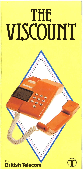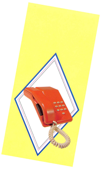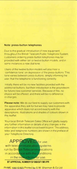#### Note: press-button telephones

Due to the gradual introduction of new equipment throughout the British Telecom Public Telephone System. customers ordering press-button telephones may be provided with either ten or twelve button models. and in some instances a new dial tone.

Users of the twelve button models will also hear a ·confidence tone· on depression of the press-buttons. This tone varies between press-buttons. simply informing the user that the telephone is functioning correctly.

Initially there will be no new facilities provided with the additional buttons. but their introduction is the groundwork for future new customer services. Because of this. no choice will be offered. and there will be no difference in charges

Please note: We do our best to supply our customers with the apparatus they ask for but we may have to provide apparatus which does not accord exactly with the descriptions. illustrations and shades of colours shown in this leaflet.

Your local British Telecom Sales Office will gladly supply any further information or details of any changes in the information in this leaflet since it went to print. The address. telex and telephone numbers are shown in the preface of your Telephone Directory.

# **APPROVED** for use

with telecommunication systems run by British Telecommunications in accordance with the conditions in the instructions for use.

#### BT APPROVAL NUMBER S/1000/GF/1981/PR

PHME 100(12/82) Printed by S.W. Sharman & Co Ltd